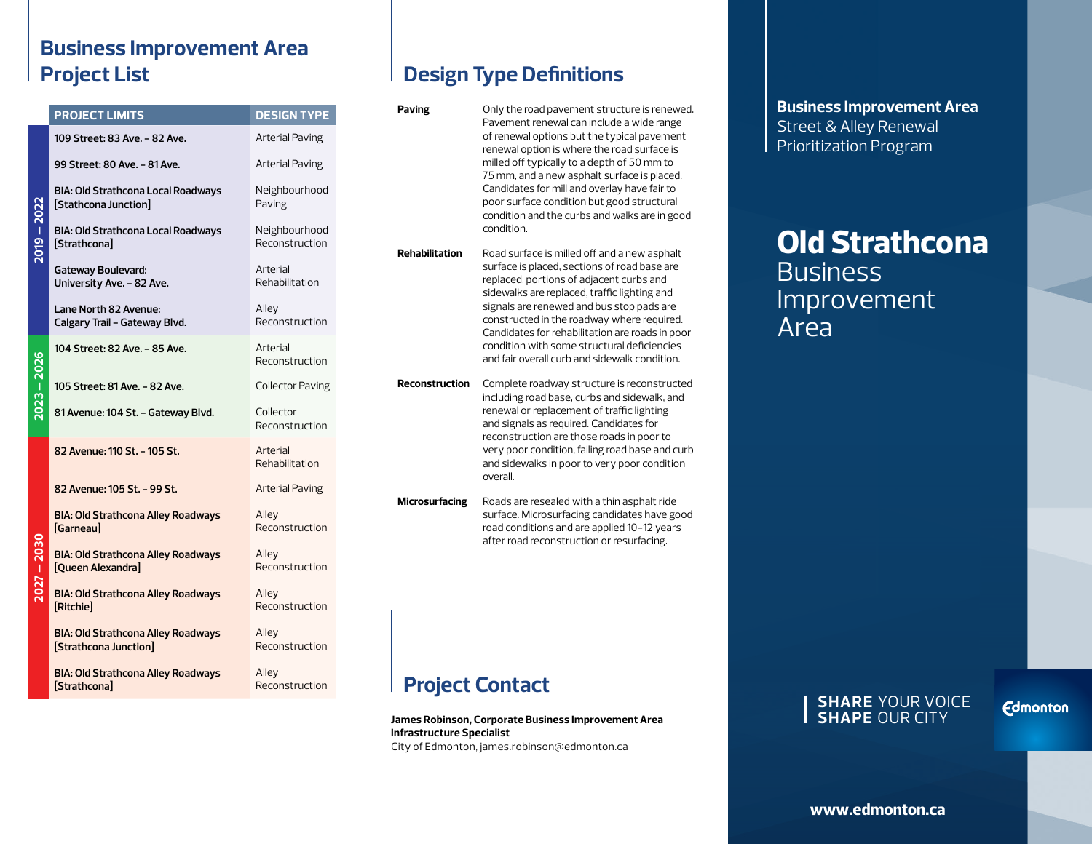### **Business Improvement Area Project List**

|  | <b>PROJECT LIMITS</b>                                              | <b>DESIGN TYPE</b>              |
|--|--------------------------------------------------------------------|---------------------------------|
|  | 109 Street: 83 Ave. - 82 Ave.                                      | Arterial Paving                 |
|  | 99 Street: 80 Ave. - 81 Ave.                                       | Arterial Paving                 |
|  | <b>BIA: Old Strathcona Local Roadways</b><br>[Stathcona Junction]  | Neighbourhood<br>Paving         |
|  | <b>BIA: Old Strathcona Local Roadways</b><br>[Strathcona]          | Neighbourhood<br>Reconstruction |
|  | <b>Gateway Boulevard:</b><br>University Ave. - 82 Ave.             | Arterial<br>Rehabilitation      |
|  | Lane North 82 Avenue:<br>Calgary Trail - Gateway Blvd.             | Alley<br>Reconstruction         |
|  | 104 Street: 82 Ave. - 85 Ave.                                      | Arterial<br>Reconstruction      |
|  | 105 Street: 81 Ave. - 82 Ave.                                      | <b>Collector Paving</b>         |
|  | 81 Avenue: 104 St. - Gateway Blvd.                                 | Collector<br>Reconstruction     |
|  | 82 Avenue: 110 St. - 105 St.                                       | Arterial<br>Rehabilitation      |
|  | 82 Avenue: 105 St. - 99 St.                                        | <b>Arterial Paving</b>          |
|  | <b>BIA: Old Strathcona Alley Roadways</b><br>[Garneau]             | Alley<br>Reconstruction         |
|  | <b>BIA: Old Strathcona Alley Roadways</b><br>[Queen Alexandra]     | Alley<br>Reconstruction         |
|  | <b>BIA: Old Strathcona Alley Roadways</b><br>[Ritchie]             | Alley<br>Reconstruction         |
|  | <b>BIA: Old Strathcona Alley Roadways</b><br>[Strathcona Junction] | Alley<br>Reconstruction         |
|  | <b>BIA: Old Strathcona Alley Roadways</b><br>[Strathcona]          | Alley<br>Reconstruction         |

## **Design Type Definitions**

| Paving                 | Only the road pavement structure is renewed.<br>Pavement renewal can include a wide range<br>of renewal options but the typical pavement<br>renewal option is where the road surface is<br>milled off typically to a depth of 50 mm to<br>75 mm, and a new asphalt surface is placed.<br>Candidates for mill and overlay have fair to<br>poor surface condition but good structural<br>condition and the curbs and walks are in good<br>condition. |  |  |
|------------------------|----------------------------------------------------------------------------------------------------------------------------------------------------------------------------------------------------------------------------------------------------------------------------------------------------------------------------------------------------------------------------------------------------------------------------------------------------|--|--|
| Rehabilitation         | Road surface is milled off and a new asphalt<br>surface is placed, sections of road base are<br>replaced, portions of adjacent curbs and<br>sidewalks are replaced, traffic lighting and<br>signals are renewed and bus stop pads are<br>constructed in the roadway where required.<br>Candidates for rehabilitation are roads in poor<br>condition with some structural deficiencies<br>and fair overall curb and sidewalk condition.             |  |  |
| <b>Reconstruction</b>  | Complete roadway structure is reconstructed<br>including road base, curbs and sidewalk, and<br>renewal or replacement of traffic lighting<br>and signals as required. Candidates for<br>reconstruction are those roads in poor to<br>very poor condition, failing road base and curb<br>and sidewalks in poor to very poor condition<br>overall.                                                                                                   |  |  |
| Microsurfacing         | Roads are resealed with a thin asphalt ride<br>surface. Microsurfacing candidates have good<br>road conditions and are applied 10-12 years<br>after road reconstruction or resurfacing.                                                                                                                                                                                                                                                            |  |  |
| <b>Project Contact</b> |                                                                                                                                                                                                                                                                                                                                                                                                                                                    |  |  |

**James Robinson, Corporate Business Improvement Area Infrastructure Specialist** City of Edmonton, james.robinson@edmonton.ca

**Business Improvement Area** Street & Alley Renewal Prioritization Program

# **Old Strathcona Business** Improvement Area

#### **SHARE** YOUR VOICE **SHAPE** OUR CITY

**Edmonton** 

**www.edmonton.ca**